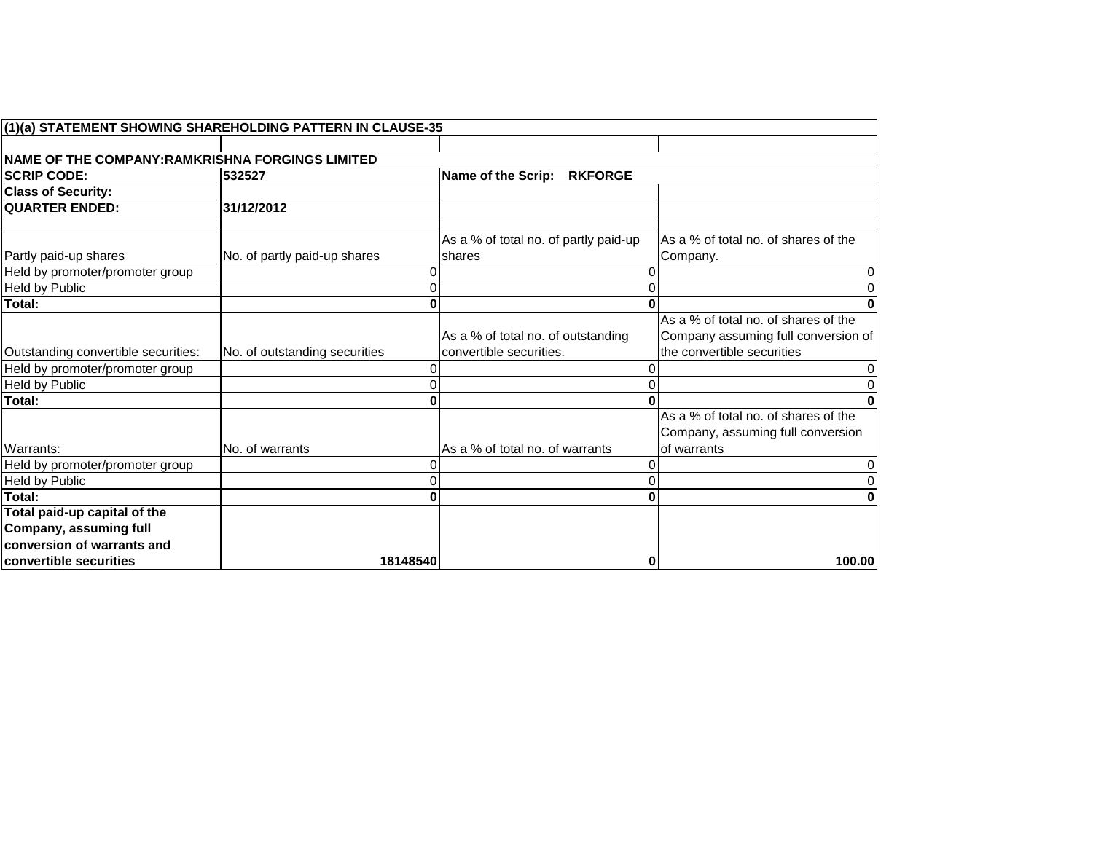|                                                  | (1)(a) STATEMENT SHOWING SHAREHOLDING PATTERN IN CLAUSE-35 |                                                 |                                                  |
|--------------------------------------------------|------------------------------------------------------------|-------------------------------------------------|--------------------------------------------------|
|                                                  |                                                            |                                                 |                                                  |
| NAME OF THE COMPANY: RAMKRISHNA FORGINGS LIMITED |                                                            |                                                 |                                                  |
| <b>SCRIP CODE:</b>                               | 532527                                                     | Name of the Scrip:<br><b>RKFORGE</b>            |                                                  |
| <b>Class of Security:</b>                        |                                                            |                                                 |                                                  |
| <b>QUARTER ENDED:</b>                            | 31/12/2012                                                 |                                                 |                                                  |
|                                                  |                                                            |                                                 |                                                  |
| Partly paid-up shares                            | No. of partly paid-up shares                               | As a % of total no. of partly paid-up<br>shares | As a % of total no. of shares of the<br>Company. |
| Held by promoter/promoter group                  |                                                            |                                                 | $\overline{0}$                                   |
| Held by Public                                   |                                                            |                                                 | $\overline{0}$                                   |
| Total:                                           |                                                            |                                                 | $\mathbf{0}$                                     |
|                                                  |                                                            |                                                 | As a % of total no, of shares of the             |
|                                                  |                                                            | As a % of total no. of outstanding              | Company assuming full conversion of              |
| Outstanding convertible securities:              | No. of outstanding securities                              | convertible securities.                         | the convertible securities                       |
| Held by promoter/promoter group                  |                                                            |                                                 | $\overline{0}$                                   |
| Held by Public                                   |                                                            |                                                 | $\overline{0}$                                   |
| Total:                                           |                                                            |                                                 | $\mathbf{0}$                                     |
|                                                  |                                                            |                                                 | As a % of total no. of shares of the             |
|                                                  |                                                            |                                                 | Company, assuming full conversion                |
| Warrants:                                        | No. of warrants                                            | IAs a % of total no. of warrants                | of warrants                                      |
| Held by promoter/promoter group                  |                                                            |                                                 | $\overline{0}$                                   |
| <b>Held by Public</b>                            |                                                            |                                                 | $\overline{0}$                                   |
| Total:                                           |                                                            |                                                 | $\mathbf{0}$                                     |
| Total paid-up capital of the                     |                                                            |                                                 |                                                  |
| Company, assuming full                           |                                                            |                                                 |                                                  |
| conversion of warrants and                       |                                                            |                                                 |                                                  |
| convertible securities                           | 18148540                                                   | 0                                               | 100.00                                           |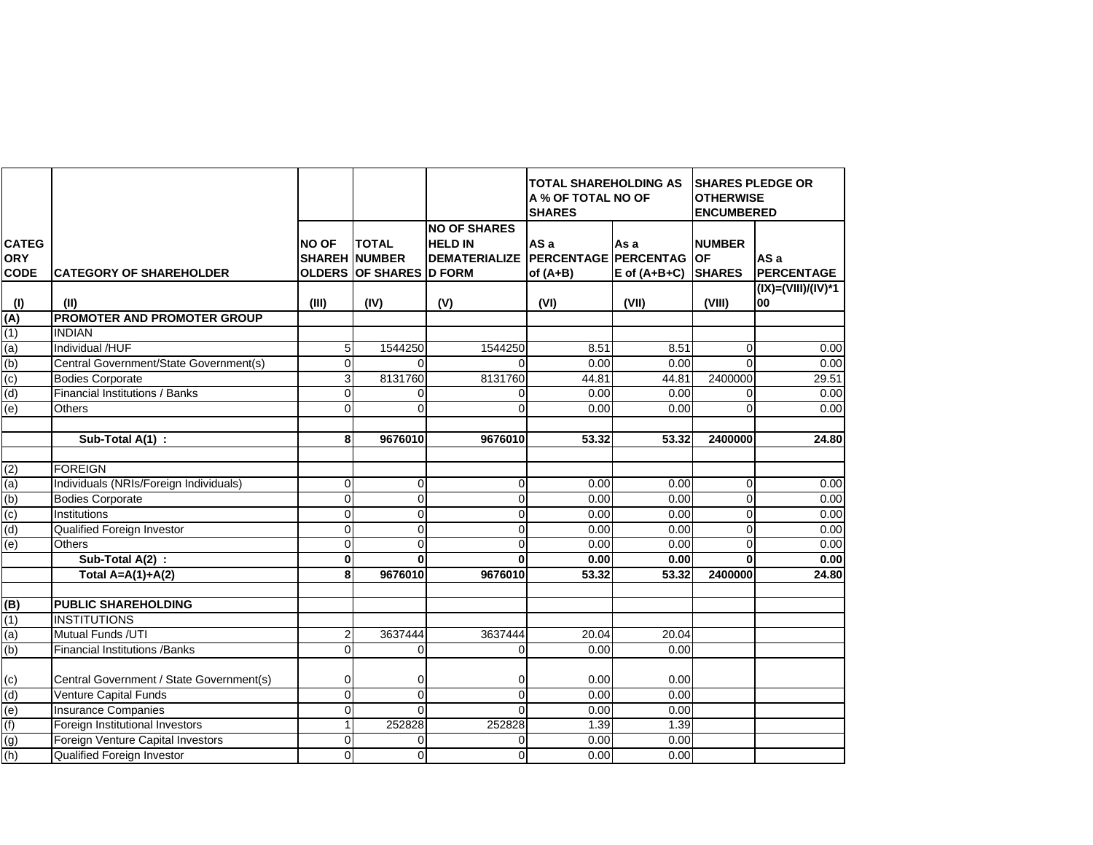|                                           |                                          |                |                                                                        |                                                                             | <b>TOTAL SHAREHOLDING AS</b><br>A % OF TOTAL NO OF<br><b>SHARES</b> |                          | <b>SHARES PLEDGE OR</b><br><b>OTHERWISE</b><br><b>ENCUMBERED</b> |                           |  |
|-------------------------------------------|------------------------------------------|----------------|------------------------------------------------------------------------|-----------------------------------------------------------------------------|---------------------------------------------------------------------|--------------------------|------------------------------------------------------------------|---------------------------|--|
| <b>CATEG</b><br><b>ORY</b><br><b>CODE</b> | <b>CATEGORY OF SHAREHOLDER</b>           | <b>NO OF</b>   | <b>TOTAL</b><br><b>SHAREH NUMBER</b><br><b>OLDERS OF SHARES D FORM</b> | <b>NO OF SHARES</b><br><b>HELD IN</b><br>DEMATERIALIZE PERCENTAGE PERCENTAG | AS a<br>of $(A+B)$                                                  | As a<br>$E$ of $(A+B+C)$ | <b>NUMBER</b><br><b>OF</b><br><b>SHARES</b>                      | AS a<br><b>PERCENTAGE</b> |  |
| (1)                                       | (II)                                     | (III)          | (IV)                                                                   | (V)                                                                         | (VI)                                                                | (VII)                    | (VIII)                                                           | (IX)=(VIII)/(IV)*1<br>00  |  |
| (A)                                       | PROMOTER AND PROMOTER GROUP              |                |                                                                        |                                                                             |                                                                     |                          |                                                                  |                           |  |
| (1)                                       | <b>INDIAN</b>                            |                |                                                                        |                                                                             |                                                                     |                          |                                                                  |                           |  |
| (a)                                       | Individual /HUF                          | $\sqrt{5}$     | 1544250                                                                | 1544250                                                                     | 8.51                                                                | 8.51                     | $\mathbf 0$                                                      | 0.00                      |  |
| (b)                                       | Central Government/State Government(s)   | $\mathbf{0}$   | $\Omega$                                                               | $\Omega$                                                                    | 0.00                                                                | 0.00                     | $\Omega$                                                         | 0.00                      |  |
| (c)                                       | <b>Bodies Corporate</b>                  | $\mathbf{3}$   | 8131760                                                                | 8131760                                                                     | 44.81                                                               | 44.81                    | 2400000                                                          | 29.51                     |  |
| (d)                                       | <b>Financial Institutions / Banks</b>    | $\Omega$       | $\Omega$                                                               | $\overline{0}$                                                              | 0.00                                                                | 0.00                     | $\Omega$                                                         | 0.00                      |  |
| (e)                                       | <b>Others</b>                            | $\Omega$       | $\Omega$                                                               | $\Omega$                                                                    | 0.00                                                                | 0.00                     | $\Omega$                                                         | 0.00                      |  |
|                                           |                                          |                |                                                                        |                                                                             |                                                                     |                          |                                                                  |                           |  |
|                                           | Sub-Total A(1) :                         | 8              | 9676010                                                                | 9676010                                                                     | 53.32                                                               | 53.32                    | 2400000                                                          | 24.80                     |  |
|                                           |                                          |                |                                                                        |                                                                             |                                                                     |                          |                                                                  |                           |  |
| (2)                                       | <b>FOREIGN</b>                           |                |                                                                        |                                                                             |                                                                     |                          |                                                                  |                           |  |
| (a)                                       | Individuals (NRIs/Foreign Individuals)   | $\mathbf{0}$   | 0                                                                      | $\overline{0}$                                                              | 0.00                                                                | 0.00                     | $\mathbf 0$                                                      | 0.00                      |  |
| (b)                                       | <b>Bodies Corporate</b>                  | $\overline{0}$ | $\overline{0}$                                                         | $\overline{0}$                                                              | 0.00                                                                | 0.00                     | $\overline{\mathbf{0}}$                                          | 0.00                      |  |
| (c)                                       | Institutions                             | $\mathbf{0}$   | $\Omega$                                                               | $\overline{0}$                                                              | 0.00                                                                | 0.00                     | $\overline{0}$                                                   | 0.00                      |  |
| (d)                                       | Qualified Foreign Investor               | $\overline{0}$ | $\Omega$                                                               | $\mathbf 0$                                                                 | 0.00                                                                | 0.00                     | $\mathbf 0$                                                      | 0.00                      |  |
| $\overline{e}$                            | Others                                   | $\Omega$       | $\Omega$                                                               | $\Omega$                                                                    | 0.00                                                                | 0.00                     | $\mathbf 0$                                                      | 0.00                      |  |
|                                           | Sub-Total $A(2)$ :                       | $\bf{0}$       | $\Omega$                                                               | $\mathbf{0}$                                                                | 0.00                                                                | 0.00                     | $\mathbf 0$                                                      | 0.00                      |  |
|                                           | Total $A=A(1)+A(2)$                      | 8              | 9676010                                                                | 9676010                                                                     | 53.32                                                               | 53.32                    | 2400000                                                          | 24.80                     |  |
|                                           |                                          |                |                                                                        |                                                                             |                                                                     |                          |                                                                  |                           |  |
| (g                                        | <b>PUBLIC SHAREHOLDING</b>               |                |                                                                        |                                                                             |                                                                     |                          |                                                                  |                           |  |
| (1)                                       | <b>INSTITUTIONS</b>                      |                |                                                                        |                                                                             |                                                                     |                          |                                                                  |                           |  |
| (a)                                       | Mutual Funds /UTI                        | $\overline{2}$ | 3637444                                                                | 3637444                                                                     | 20.04                                                               | 20.04                    |                                                                  |                           |  |
| (b)                                       | <b>Financial Institutions /Banks</b>     | $\Omega$       | $\Omega$                                                               | $\overline{0}$                                                              | 0.00                                                                | 0.00                     |                                                                  |                           |  |
| (c)                                       | Central Government / State Government(s) | $\overline{0}$ | $\overline{0}$                                                         | $\overline{0}$                                                              | 0.00                                                                | 0.00                     |                                                                  |                           |  |
| (d)                                       | Venture Capital Funds                    | $\Omega$       | $\Omega$                                                               | $\Omega$                                                                    | 0.00                                                                | 0.00                     |                                                                  |                           |  |
| (e)                                       | <b>Insurance Companies</b>               | $\mathbf 0$    | $\Omega$                                                               | $\Omega$                                                                    | 0.00                                                                | 0.00                     |                                                                  |                           |  |
| (f)                                       | Foreign Institutional Investors          | 1              | 252828                                                                 | 252828                                                                      | 1.39                                                                | 1.39                     |                                                                  |                           |  |
| (g)                                       | Foreign Venture Capital Investors        | $\mathbf{0}$   | $\overline{0}$                                                         | $\overline{0}$                                                              | 0.00                                                                | 0.00                     |                                                                  |                           |  |
| (h)                                       | Qualified Foreign Investor               | $\Omega$       | $\Omega$                                                               | $\overline{0}$                                                              | 0.00                                                                | 0.00                     |                                                                  |                           |  |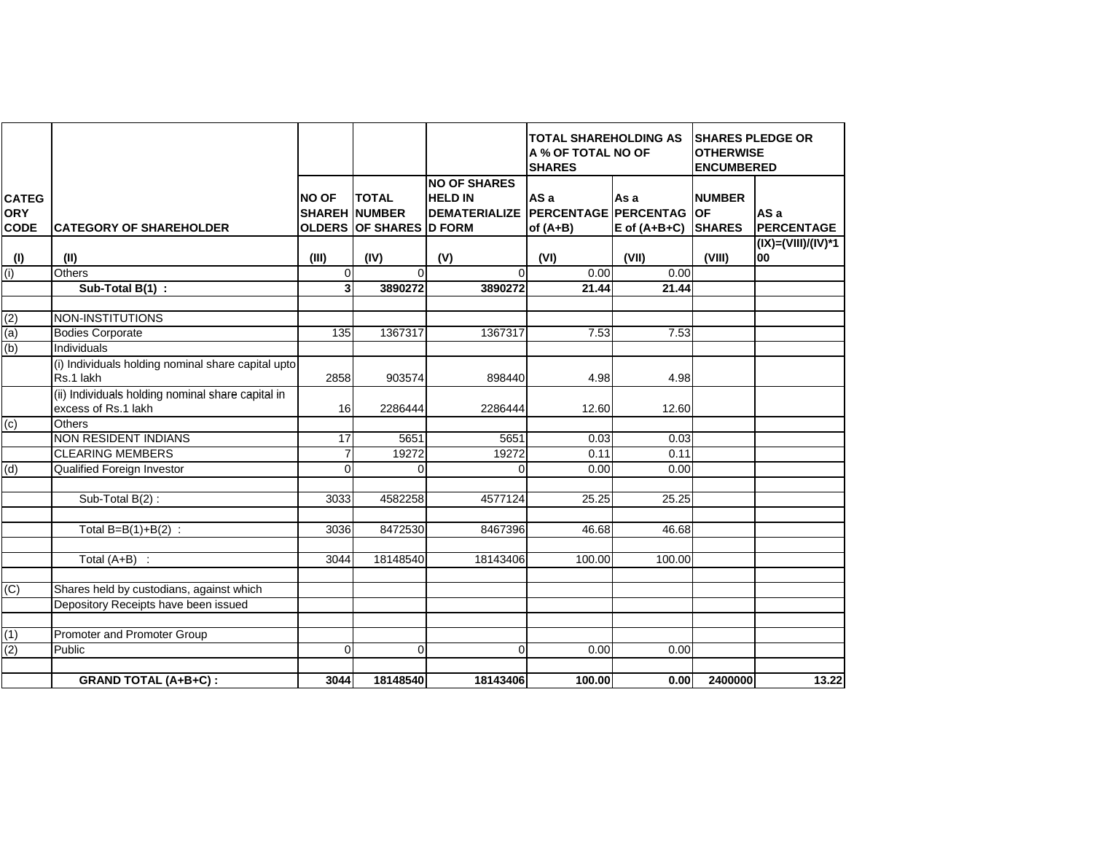|                                           |                                                                          |                |                                                                         |                                                                                    | <b>TOTAL SHAREHOLDING AS</b><br>A % OF TOTAL NO OF<br><b>SHARES</b> |                          | <b>SHARES PLEDGE OR</b><br><b>OTHERWISE</b><br><b>ENCUMBERED</b> |                           |
|-------------------------------------------|--------------------------------------------------------------------------|----------------|-------------------------------------------------------------------------|------------------------------------------------------------------------------------|---------------------------------------------------------------------|--------------------------|------------------------------------------------------------------|---------------------------|
| <b>CATEG</b><br><b>ORY</b><br><b>CODE</b> | <b>ICATEGORY OF SHAREHOLDER</b>                                          | <b>NO OF</b>   | <b>TOTAL</b><br><b>SHAREH INUMBER</b><br><b>OLDERS OF SHARES D FORM</b> | <b>NO OF SHARES</b><br><b>HELD IN</b><br><b>DEMATERIALIZE PERCENTAGE PERCENTAG</b> | AS a<br>of $(A+B)$                                                  | As a<br>$E$ of $(A+B+C)$ | <b>NUMBER</b><br><b>OF</b><br><b>SHARES</b>                      | AS a<br><b>PERCENTAGE</b> |
| (1)                                       | (II)                                                                     | (III)          | (IV)                                                                    | (V)                                                                                | (VI)                                                                | (VII)                    | (VIII)                                                           | (IX)=(VIII)/(IV)*1<br>100 |
| (i)                                       | Others                                                                   | $\Omega$       | $\Omega$                                                                | $\Omega$                                                                           | 0.00                                                                | 0.00                     |                                                                  |                           |
|                                           | Sub-Total B(1) :                                                         | 3 <sup>1</sup> | 3890272                                                                 | 3890272                                                                            | 21.44                                                               | 21.44                    |                                                                  |                           |
|                                           |                                                                          |                |                                                                         |                                                                                    |                                                                     |                          |                                                                  |                           |
| (2)                                       | NON-INSTITUTIONS                                                         |                |                                                                         |                                                                                    |                                                                     |                          |                                                                  |                           |
| (a)                                       | <b>Bodies Corporate</b>                                                  | 135            | 1367317                                                                 | 1367317                                                                            | 7.53                                                                | 7.53                     |                                                                  |                           |
| (b)                                       | Individuals                                                              |                |                                                                         |                                                                                    |                                                                     |                          |                                                                  |                           |
|                                           | (i) Individuals holding nominal share capital upto<br>Rs.1 lakh          | 2858           | 903574                                                                  | 898440                                                                             | 4.98                                                                | 4.98                     |                                                                  |                           |
|                                           | (ii) Individuals holding nominal share capital in<br>excess of Rs.1 lakh | 16             | 2286444                                                                 | 2286444                                                                            | 12.60                                                               | 12.60                    |                                                                  |                           |
| $\overline{c}$                            | <b>Others</b>                                                            |                |                                                                         |                                                                                    |                                                                     |                          |                                                                  |                           |
|                                           | <b>NON RESIDENT INDIANS</b>                                              | 17             | 5651                                                                    | 5651                                                                               | 0.03                                                                | 0.03                     |                                                                  |                           |
|                                           | <b>CLEARING MEMBERS</b>                                                  | $\overline{7}$ | 19272                                                                   | 19272                                                                              | 0.11                                                                | 0.11                     |                                                                  |                           |
| (d)                                       | Qualified Foreign Investor                                               | $\mathbf 0$    | $\Omega$                                                                | $\Omega$                                                                           | 0.00                                                                | 0.00                     |                                                                  |                           |
|                                           |                                                                          |                |                                                                         |                                                                                    |                                                                     |                          |                                                                  |                           |
|                                           | Sub-Total B(2):                                                          | 3033           | 4582258                                                                 | 4577124                                                                            | 25.25                                                               | 25.25                    |                                                                  |                           |
|                                           |                                                                          |                |                                                                         |                                                                                    |                                                                     |                          |                                                                  |                           |
|                                           | Total $B=B(1)+B(2)$ :                                                    | 3036           | 8472530                                                                 | 8467396                                                                            | 46.68                                                               | 46.68                    |                                                                  |                           |
|                                           |                                                                          |                |                                                                         |                                                                                    |                                                                     |                          |                                                                  |                           |
|                                           | Total $(A+B)$ :                                                          | 3044           | 18148540                                                                | 18143406                                                                           | 100.00                                                              | 100.00                   |                                                                  |                           |
|                                           |                                                                          |                |                                                                         |                                                                                    |                                                                     |                          |                                                                  |                           |
| (C)                                       | Shares held by custodians, against which                                 |                |                                                                         |                                                                                    |                                                                     |                          |                                                                  |                           |
|                                           | Depository Receipts have been issued                                     |                |                                                                         |                                                                                    |                                                                     |                          |                                                                  |                           |
|                                           |                                                                          |                |                                                                         |                                                                                    |                                                                     |                          |                                                                  |                           |
| (1)                                       | Promoter and Promoter Group                                              |                |                                                                         |                                                                                    |                                                                     |                          |                                                                  |                           |
| (2)                                       | Public                                                                   | $\Omega$       | $\Omega$                                                                | $\Omega$                                                                           | 0.00                                                                | 0.00                     |                                                                  |                           |
|                                           |                                                                          |                |                                                                         |                                                                                    |                                                                     |                          |                                                                  |                           |
|                                           | <b>GRAND TOTAL (A+B+C):</b>                                              | 3044           | 18148540                                                                | 18143406                                                                           | 100.00                                                              | 0.00                     | 2400000                                                          | 13.22                     |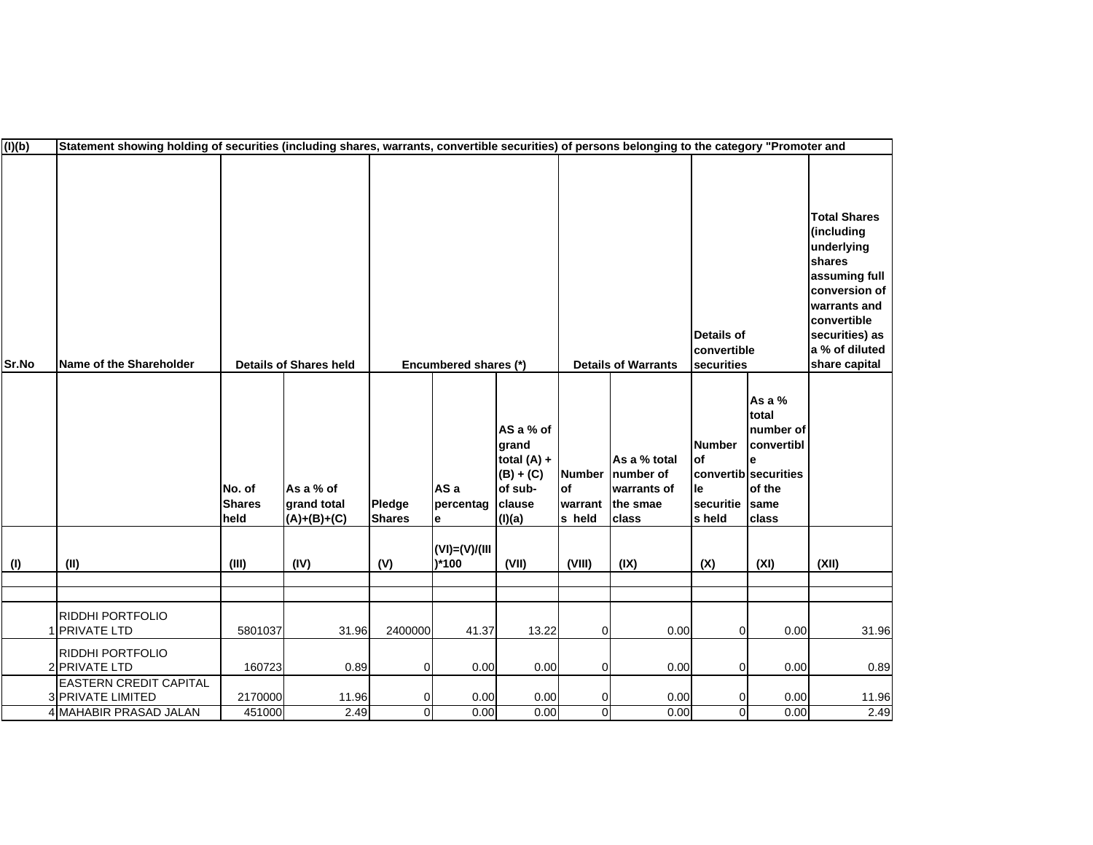| (1)(b) | Statement showing holding of securities (including shares, warrants, convertible securities) of persons belonging to the category "Promoter and |                                 |                                           |                                  |                              |                                                                                   |                                          |                                                               |                                                    |                                                                                               |                                                                                                                                                                                 |
|--------|-------------------------------------------------------------------------------------------------------------------------------------------------|---------------------------------|-------------------------------------------|----------------------------------|------------------------------|-----------------------------------------------------------------------------------|------------------------------------------|---------------------------------------------------------------|----------------------------------------------------|-----------------------------------------------------------------------------------------------|---------------------------------------------------------------------------------------------------------------------------------------------------------------------------------|
| Sr.No  | Name of the Shareholder                                                                                                                         |                                 | <b>Details of Shares held</b>             |                                  | Encumbered shares (*)        |                                                                                   |                                          | <b>Details of Warrants</b>                                    | <b>Details of</b><br>convertible<br>securities     |                                                                                               | <b>Total Shares</b><br>(including<br>underlying<br>shares<br>assuming full<br>conversion of<br>warrants and<br>convertible<br>securities) as<br>a % of diluted<br>share capital |
|        |                                                                                                                                                 | No. of<br><b>Shares</b><br>held | As a % of<br>grand total<br>$(A)+(B)+(C)$ | Pledge<br><b>Shares</b>          | AS a<br>percentag<br>e       | AS a % of<br>grand<br>total $(A) +$<br>$(B) + (C)$<br>of sub-<br>clause<br>(I)(a) | <b>Number</b><br>of<br>warrant<br>s held | As a % total<br>number of<br>warrants of<br>the smae<br>class | <b>Number</b><br>lof<br>lle<br>securitie<br>s held | As a %<br>total<br>number of<br>convertibl<br>convertib securities<br>of the<br>same<br>class |                                                                                                                                                                                 |
| (1)    | (II)                                                                                                                                            | (III)                           | (IV)                                      | (V)                              | $(VI) = (V)/(III)$<br>$*100$ | (VII)                                                                             | (VIII)                                   | (IX)                                                          | (X)                                                | (XI)                                                                                          | (XII)                                                                                                                                                                           |
|        |                                                                                                                                                 |                                 |                                           |                                  |                              |                                                                                   |                                          |                                                               |                                                    |                                                                                               |                                                                                                                                                                                 |
|        | RIDDHI PORTFOLIO<br><b>PRIVATE LTD</b>                                                                                                          | 5801037                         | 31.96                                     | 2400000                          | 41.37                        | 13.22                                                                             | $\overline{0}$                           | 0.00                                                          | 0                                                  | 0.00                                                                                          | 31.96                                                                                                                                                                           |
|        | <b>RIDDHI PORTFOLIO</b><br>2 PRIVATE LTD                                                                                                        | 160723                          | 0.89                                      | $\overline{0}$                   | 0.00                         | 0.00                                                                              | $\overline{0}$                           | 0.00                                                          | $\overline{0}$                                     | 0.00                                                                                          | 0.89                                                                                                                                                                            |
|        | EASTERN CREDIT CAPITAL<br>3 PRIVATE LIMITED<br>4 MAHABIR PRASAD JALAN                                                                           | 2170000                         | 11.96<br>2.49                             | $\overline{0}$<br>$\overline{0}$ | 0.00<br>0.00                 | 0.00<br>0.00                                                                      | $\overline{0}$<br>$\overline{0}$         | 0.00<br>0.00                                                  | 0<br>$\overline{0}$                                | 0.00<br>0.00                                                                                  | 11.96<br>2.49                                                                                                                                                                   |
|        |                                                                                                                                                 | 451000                          |                                           |                                  |                              |                                                                                   |                                          |                                                               |                                                    |                                                                                               |                                                                                                                                                                                 |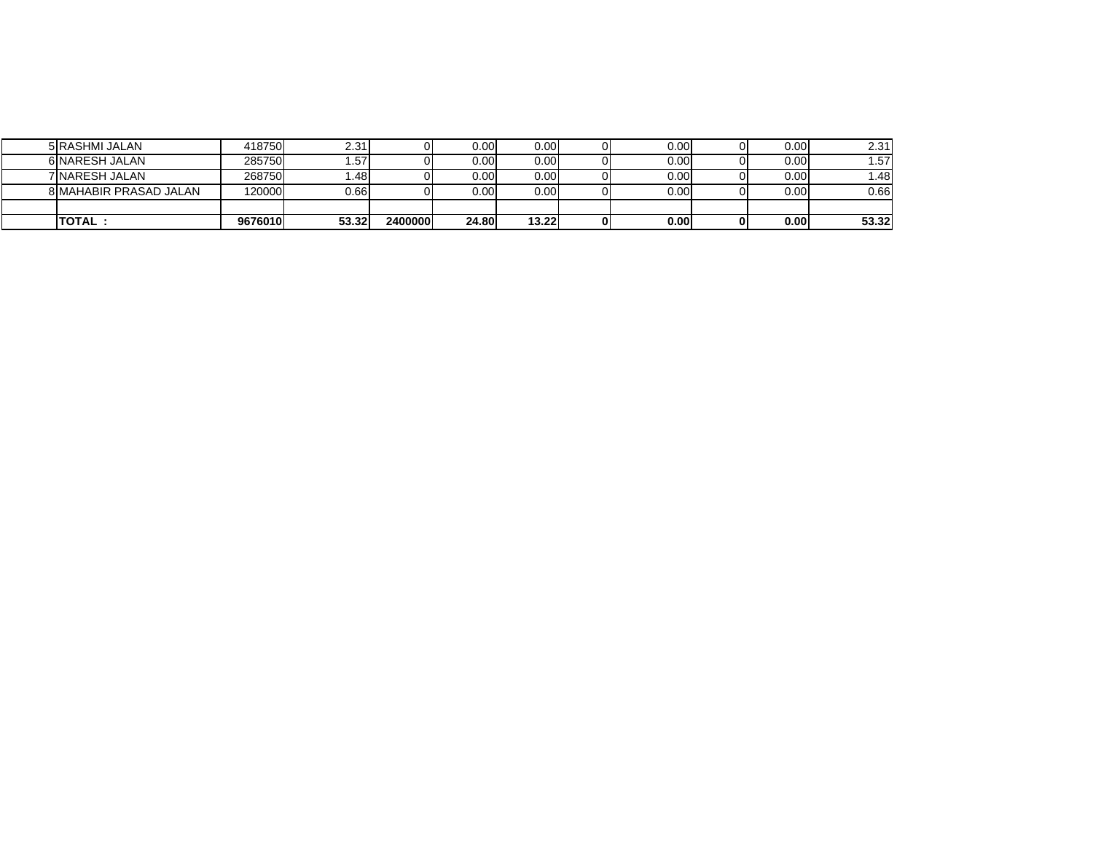| TOTAL :                       | 9676010         | 53.32   | 2400000 | 24.80    | 13.22             | 0.001     | 0.001 | 53.32 |
|-------------------------------|-----------------|---------|---------|----------|-------------------|-----------|-------|-------|
|                               |                 |         |         |          |                   |           |       |       |
| <b>8 MAHABIR PRASAD JALAN</b> | 120000 <b>1</b> | 0.66I   |         | $0.00\,$ | $0.00 \mathsf{I}$ | $0.00 \,$ | 0.00  | 0.66  |
| 7 NARESH JALAN                | 268750          | ا 48. ، |         | 0.00     | 0.00              | 0.00      | 0.00  | ا48.، |
| 6 NARESH JALAN                | 285750          | .57'    |         | 0.00     | 0.00              | 0.00      | 0.00  | .57   |
| 5 RASHMI JALAN                | 418750          | 2.31    |         | 0.00     | 0.00              | 0.00      | 0.00  | 2.31  |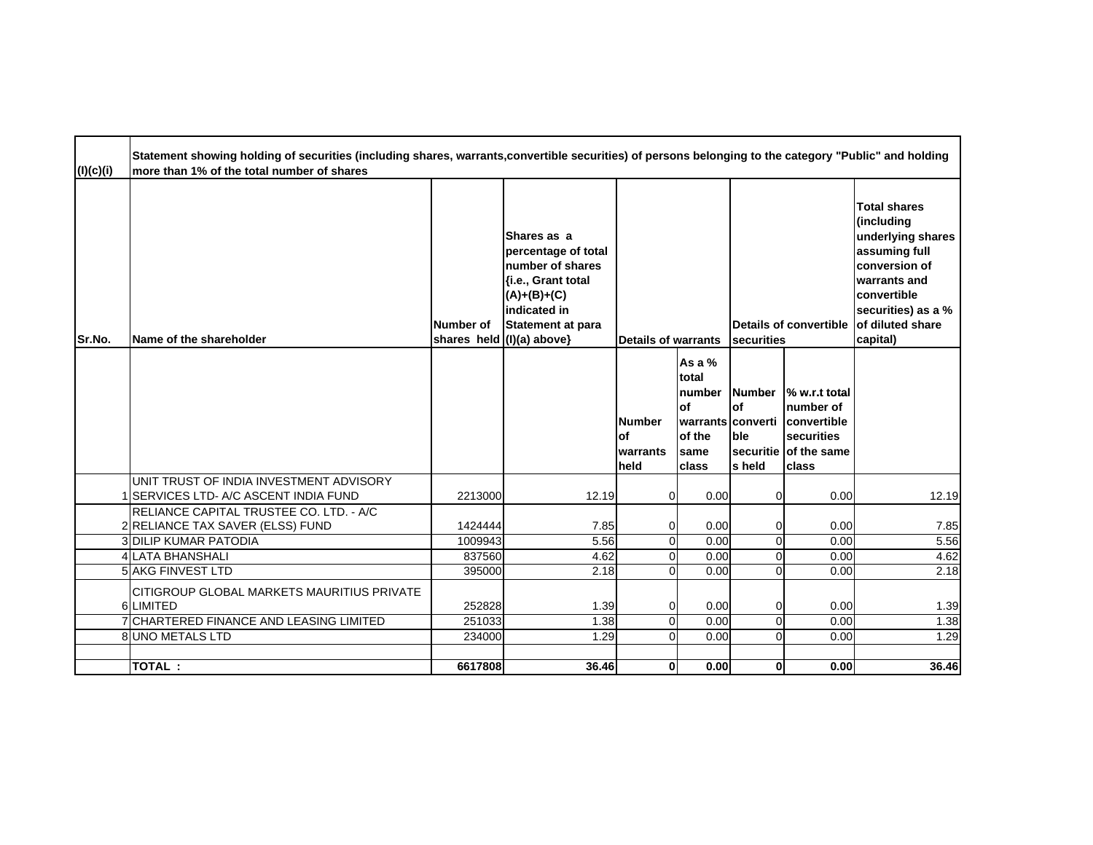| (l)(c)(i) | Statement showing holding of securities (including shares, warrants,convertible securities) of persons belonging to the category "Public" and holding<br>more than 1% of the total number of shares |                    |                                                                                                                                                                          |                                              |                                                                                      |                                       |                                                                                                  |                                                                                                                                                                               |
|-----------|-----------------------------------------------------------------------------------------------------------------------------------------------------------------------------------------------------|--------------------|--------------------------------------------------------------------------------------------------------------------------------------------------------------------------|----------------------------------------------|--------------------------------------------------------------------------------------|---------------------------------------|--------------------------------------------------------------------------------------------------|-------------------------------------------------------------------------------------------------------------------------------------------------------------------------------|
| Sr.No.    | Name of the shareholder                                                                                                                                                                             | Number of          | Shares as a<br>percentage of total<br>number of shares<br>{i.e., Grant total<br>$(A)+(B)+(C)$<br>indicated in<br><b>Statement at para</b><br>shares held $(1)(a)$ above} | <b>Details of warrants</b>                   |                                                                                      | securities                            | Details of convertible                                                                           | <b>Total shares</b><br>(including<br>underlying shares<br>assuming full<br>conversion of<br>warrants and<br>convertible<br>securities) as a %<br>of diluted share<br>capital) |
|           |                                                                                                                                                                                                     |                    |                                                                                                                                                                          | <b>Number</b><br>lof<br>warrants<br>held     | As a $%$<br>total<br>number<br>lof<br>Iwarrants Iconverti<br>of the<br>same<br>class | <b>Number</b><br>lof<br>ble<br>s held | % w.r.t total<br>number of<br>convertible<br>securities<br>securitie of the same<br><b>class</b> |                                                                                                                                                                               |
|           | UNIT TRUST OF INDIA INVESTMENT ADVISORY<br><b>SERVICES LTD- A/C ASCENT INDIA FUND</b>                                                                                                               | 2213000            | 12.19                                                                                                                                                                    | $\overline{0}$                               | 0.00                                                                                 | $\mathbf 0$                           | 0.00                                                                                             | 12.19                                                                                                                                                                         |
|           | IRELIANCE CAPITAL TRUSTEE CO. LTD. - A/C<br>2 RELIANCE TAX SAVER (ELSS) FUND<br><b>3 DILIP KUMAR PATODIA</b>                                                                                        | 1424444<br>1009943 | 7.85<br>5.56                                                                                                                                                             | $\overline{0}$<br>$\overline{0}$             | 0.00<br>0.00                                                                         | 0<br>$\Omega$                         | 0.00<br>0.00                                                                                     | 7.85<br>5.56                                                                                                                                                                  |
|           | <b>4 LATA BHANSHALI</b>                                                                                                                                                                             | 837560             | 4.62                                                                                                                                                                     | $\Omega$                                     | 0.00                                                                                 | $\Omega$                              | 0.00                                                                                             | 4.62                                                                                                                                                                          |
|           | <b>5 AKG FINVEST LTD</b>                                                                                                                                                                            | 395000             | 2.18                                                                                                                                                                     | $\Omega$                                     | 0.00                                                                                 | $\Omega$                              | 0.00                                                                                             | 2.18                                                                                                                                                                          |
|           | CITIGROUP GLOBAL MARKETS MAURITIUS PRIVATE<br>6 LIMITED<br>7 CHARTERED FINANCE AND LEASING LIMITED                                                                                                  | 252828<br>251033   | 1.39<br>1.38                                                                                                                                                             | $\overline{0}$<br>$\overline{0}$<br>$\Omega$ | 0.00<br>0.00<br>0.00                                                                 | 0<br>$\overline{0}$<br>$\Omega$       | 0.00<br>0.00                                                                                     | 1.39<br>1.38                                                                                                                                                                  |
|           | 8 UNO METALS LTD                                                                                                                                                                                    | 234000             | 1.29                                                                                                                                                                     |                                              |                                                                                      |                                       | 0.00                                                                                             | 1.29                                                                                                                                                                          |
|           | <b>TOTAL:</b>                                                                                                                                                                                       | 6617808            | 36.46                                                                                                                                                                    | $\mathbf{0}$                                 | 0.00                                                                                 | $\mathbf{0}$                          | 0.00                                                                                             | 36.46                                                                                                                                                                         |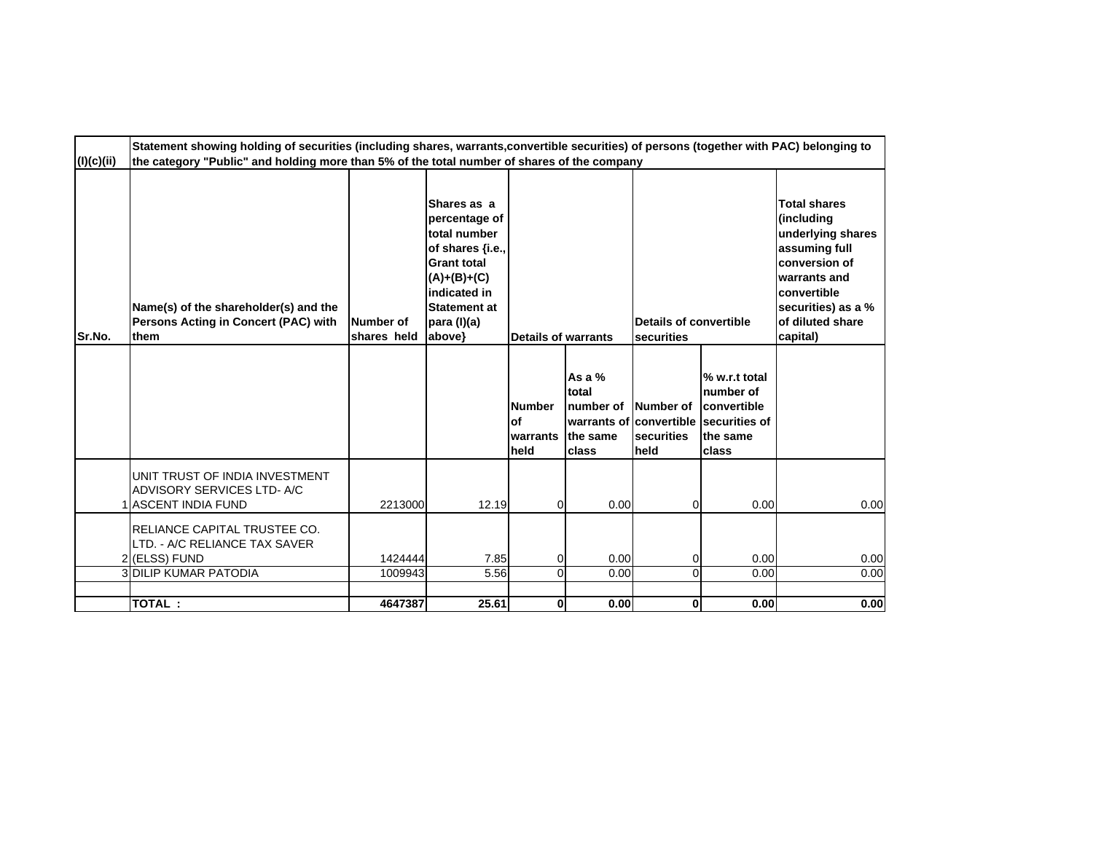| (l)(c)(ii) | Statement showing holding of securities (including shares, warrants, convertible securities) of persons (together with PAC) belonging to<br>the category "Public" and holding more than 5% of the total number of shares of the company |                          |                                                                                                                                                                         |                                          |                                                     |                                      |                                                                                                                   |                                                                                                                                                                               |
|------------|-----------------------------------------------------------------------------------------------------------------------------------------------------------------------------------------------------------------------------------------|--------------------------|-------------------------------------------------------------------------------------------------------------------------------------------------------------------------|------------------------------------------|-----------------------------------------------------|--------------------------------------|-------------------------------------------------------------------------------------------------------------------|-------------------------------------------------------------------------------------------------------------------------------------------------------------------------------|
| Sr.No.     | Name(s) of the shareholder(s) and the<br>Persons Acting in Concert (PAC) with<br>them                                                                                                                                                   | Number of<br>shares held | Shares as a<br>percentage of<br>total number<br>of shares {i.e.,<br><b>Grant total</b><br>$(A)+(B)+(C)$<br>indicated in<br><b>Statement at</b><br>para (I)(a)<br>above} | Details of warrants                      |                                                     | Details of convertible<br>securities |                                                                                                                   | <b>Total shares</b><br>(including<br>underlying shares<br>assuming full<br>conversion of<br>warrants and<br>convertible<br>securities) as a %<br>of diluted share<br>capital) |
|            |                                                                                                                                                                                                                                         |                          |                                                                                                                                                                         | <b>Number</b><br>lof<br>warrants<br>held | As a $%$<br>total<br>number of<br>the same<br>class | Number of<br>securities<br>held      | % w.r.t total<br><b>Inumber</b> of<br>convertible<br>warrants of convertible Isecurities of<br>the same<br>Iclass |                                                                                                                                                                               |
|            | UNIT TRUST OF INDIA INVESTMENT<br>ADVISORY SERVICES LTD-A/C<br>I IASCENT INDIA FUND                                                                                                                                                     | 2213000                  | 12.19                                                                                                                                                                   | $\overline{0}$                           | 0.00                                                | 0                                    | 0.00                                                                                                              | 0.00                                                                                                                                                                          |
|            | RELIANCE CAPITAL TRUSTEE CO.<br>LTD. - A/C RELIANCE TAX SAVER<br>2 (ELSS) FUND<br><b>3 DILIP KUMAR PATODIA</b>                                                                                                                          | 1424444<br>1009943       | 7.85<br>5.56                                                                                                                                                            | 0<br>$\Omega$                            | 0.00<br>0.00                                        | 0<br>0                               | 0.00<br>0.00                                                                                                      | 0.00<br>0.00                                                                                                                                                                  |
|            | TOTAL:                                                                                                                                                                                                                                  | 4647387                  | 25.61                                                                                                                                                                   | 0                                        | 0.00                                                | 0                                    | 0.00                                                                                                              | 0.00                                                                                                                                                                          |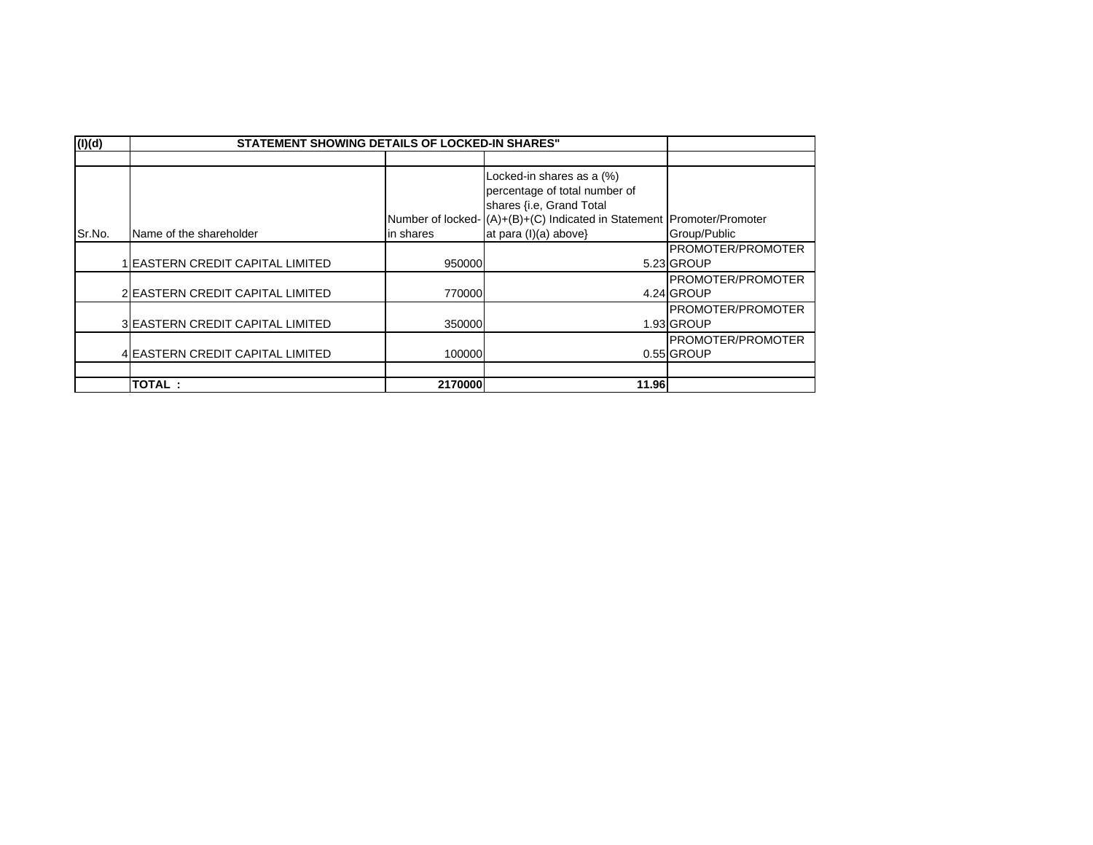| (I)(d) | <b>STATEMENT SHOWING DETAILS OF LOCKED-IN SHARES"</b> |           |                                                                        |                           |
|--------|-------------------------------------------------------|-----------|------------------------------------------------------------------------|---------------------------|
|        |                                                       |           |                                                                        |                           |
|        |                                                       |           | Locked-in shares as a (%)                                              |                           |
|        |                                                       |           | percentage of total number of                                          |                           |
|        |                                                       |           | shares {i.e, Grand Total                                               |                           |
|        |                                                       |           | Number of locked- (A)+(B)+(C) Indicated in Statement Promoter/Promoter |                           |
| Sr.No. | Name of the shareholder                               | in shares | at para (I)(a) above}                                                  | Group/Public              |
|        |                                                       |           |                                                                        | <b>IPROMOTER/PROMOTER</b> |
|        | <b>EASTERN CREDIT CAPITAL LIMITED</b>                 | 950000    |                                                                        | 5.23 GROUP                |
|        |                                                       |           |                                                                        | <b>PROMOTER/PROMOTER</b>  |
|        | 2 EASTERN CREDIT CAPITAL LIMITED                      | 770000    |                                                                        | 4.24 GROUP                |
|        |                                                       |           |                                                                        | <b>IPROMOTER/PROMOTER</b> |
|        | 3 EASTERN CREDIT CAPITAL LIMITED                      | 350000    |                                                                        | 1.93 GROUP                |
|        |                                                       |           |                                                                        | <b>PROMOTER/PROMOTER</b>  |
|        | 4 EASTERN CREDIT CAPITAL LIMITED                      | 100000    |                                                                        | 0.55 GROUP                |
|        |                                                       |           |                                                                        |                           |
|        | TOTAL:                                                | 2170000   | 11.96                                                                  |                           |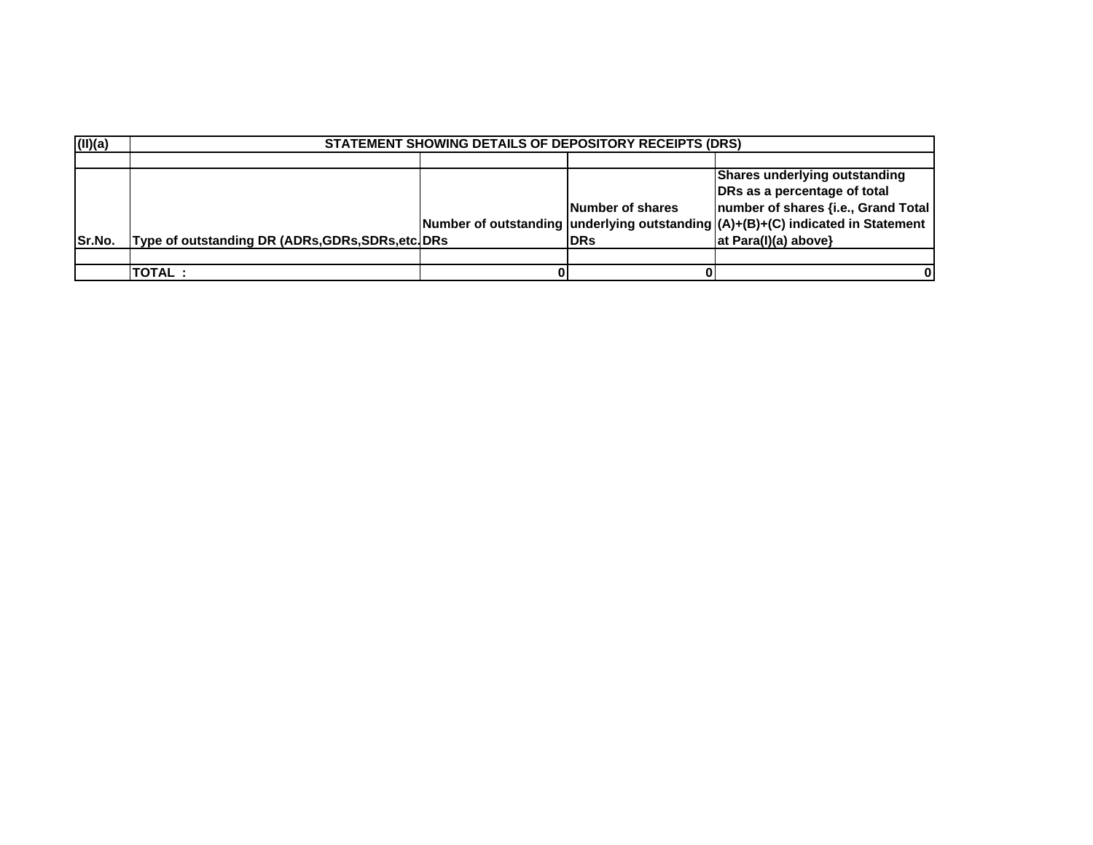| (II)(a) |                                                    | <b>STATEMENT SHOWING DETAILS OF DEPOSITORY RECEIPTS (DRS)</b> |                         |                                                                                   |
|---------|----------------------------------------------------|---------------------------------------------------------------|-------------------------|-----------------------------------------------------------------------------------|
|         |                                                    |                                                               |                         |                                                                                   |
|         |                                                    |                                                               |                         | Shares underlying outstanding                                                     |
|         |                                                    |                                                               |                         | DRs as a percentage of total                                                      |
|         |                                                    |                                                               | <b>Number of shares</b> | number of shares {i.e., Grand Total                                               |
|         |                                                    |                                                               |                         | Number of outstanding underlying outstanding $(A)+(B)+(C)$ indicated in Statement |
| Sr.No.  | Type of outstanding DR (ADRs, GDRs, SDRs, etc. DRs |                                                               | <b>IDRs</b>             | at Para(I)(a) above}                                                              |
|         |                                                    |                                                               |                         |                                                                                   |
|         | <b>TOTAL:</b>                                      |                                                               |                         |                                                                                   |